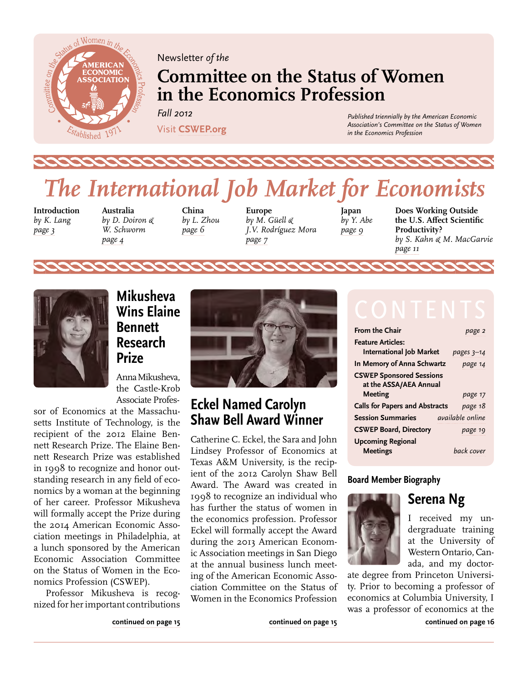<span id="page-0-0"></span>

Newsletter *of the*

## **Committee on the Status of Women in the Economics Profession**

*Fall 2012* 

Visit **[CSWEP.org](http://www.aeaweb.org/committees/cswep/)**

*Published triennially by the American Economic Association's Committee on the Status of Women in the Economics Profession*

# *The International Job Market for Economists*

**Introduction**  *by K. Lang [page 3](#page-2-0)* 

**Australia**  *by D. Doiron & W. Schworm [page 4](#page-3-0)*

**China** *by L. Zhou [page 6](#page-5-0)*

**Europe** *by M. Güell & J.V. Rodríguez Mora [page 7](#page-6-0)*

**Japan**  *by Y. Abe [page 9](#page-8-0)*

**Does Working Outside the U.S. Affect Scientific Productivity?**  *by S. Kahn & M. MacGarvie [page 11](#page-10-0)*



### **Mikusheva Wins Elaine Bennett Research Prize**

Anna Mikusheva, the Castle-Krob Associate Profes-

sor of Economics at the Massachusetts Institute of Technology, is the recipient of the 2012 Elaine Bennett Research Prize. The Elaine Bennett Research Prize was established in 1998 to recognize and honor outstanding research in any field of economics by a woman at the beginning of her career. Professor Mikusheva will formally accept the Prize during the 2014 American Economic Association meetings in Philadelphia, at a lunch sponsored by the American Economic Association Committee on the Status of Women in the Economics Profession (CSWEP).

Professor Mikusheva is recognized for her important contributions

**[continued on page 15](#page-14-0)**



### **Eckel Named Carolyn Shaw Bell Award Winner**

Catherine C. Eckel, the Sara and John Lindsey Professor of Economics at Texas A&M University, is the recipient of the 2012 Carolyn Shaw Bell Award. The Award was created in 1998 to recognize an individual who has further the status of women in the economics profession. Professor Eckel will formally accept the Award during the 2013 American Economic Association meetings in San Diego at the annual business lunch meeting of the American Economic Association Committee on the Status of Women in the Economics Profession

| <b>From the Chair</b>                                     | page 2                  |
|-----------------------------------------------------------|-------------------------|
| <b>Feature Articles:</b>                                  |                         |
| <b>International Job Market</b>                           | pages $3-14$            |
| In Memory of Anna Schwartz                                | page 14                 |
| <b>CSWEP Sponsored Sessions</b><br>at the ASSA/AEA Annual |                         |
| Meeting                                                   | page 17                 |
| <b>Calls for Papers and Abstracts</b>                     | page 18                 |
| <b>Session Summaries</b>                                  | <i>available</i> online |
| <b>CSWEP Board, Directory</b>                             | page 19                 |
| <b>Upcoming Regional</b><br><b>Meetings</b>               | back cover              |

#### **Board Member Biography**



I received my undergraduate training at the University of Western Ontario, Canada, and my doctor-

**Serena Ng** 

ate degree from Princeton University. Prior to becoming a professor of economics at Columbia University, I was a professor of economics at the

**[continued on page 16](#page-15-0)**

**[continued on page 15](#page-14-0)**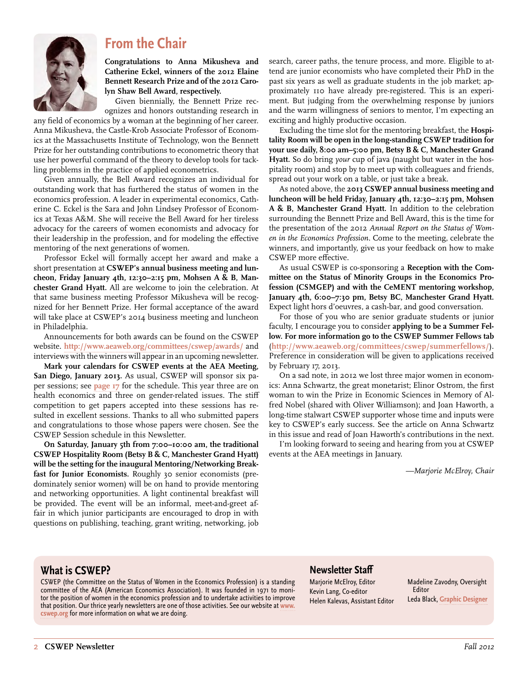<span id="page-1-0"></span>

### **From the Chair**

**Congratulations to Anna Mikusheva and Catherine Eckel, winners of the 2012 Elaine Bennett Research Prize and of the 2012 Carolyn Shaw Bell Award, respectively.** 

Given biennially, the Bennett Prize recognizes and honors outstanding research in

any field of economics by a woman at the beginning of her career. Anna Mikusheva, the Castle-Krob Associate Professor of Economics at the Massachusetts Institute of Technology, won the Bennett Prize for her outstanding contributions to econometric theory that use her powerful command of the theory to develop tools for tackling problems in the practice of applied econometrics.

Given annually, the Bell Award recognizes an individual for outstanding work that has furthered the status of women in the economics profession. A leader in experimental economics, Catherine C. Eckel is the Sara and John Lindsey Professor of Economics at Texas A&M. She will receive the Bell Award for her tireless advocacy for the careers of women economists and advocacy for their leadership in the profession, and for modeling the effective mentoring of the next generations of women.

Professor Eckel will formally accept her award and make a short presentation at **CSWEP's annual business meeting and luncheon, Friday January 4th, 12:30–2:15 pm, Mohsen A & B, Manchester Grand Hyatt.** All are welcome to join the celebration. At that same business meeting Professor Mikusheva will be recognized for her Bennett Prize. Her formal acceptance of the award will take place at CSWEP's 2014 business meeting and luncheon in Philadelphia.

Announcements for both awards can be found on the CSWEP website. **<http://www.aeaweb.org/committees/cswep/awards/>** and interviews with the winners will appear in an upcoming newsletter.

**Mark your calendars for CSWEP events at the AEA Meeting, San Diego, January 2013.** As usual, CSWEP will sponsor six paper sessions; see **[page 17](#page-16-0)** for the schedule. This year three are on health economics and three on gender-related issues. The stiff competition to get papers accepted into these sessions has resulted in excellent sessions. Thanks to all who submitted papers and congratulations to those whose papers were chosen. See the CSWEP Session schedule in this Newsletter.

**On Saturday, January 5th from 7:00–10:00 am, the traditional CSWEP Hospitality Room (Betsy B & C, Manchester Grand Hyatt) will be the setting for the inaugural Mentoring/Networking Breakfast for Junior Economists.** Roughly 30 senior economists (predominately senior women) will be on hand to provide mentoring and networking opportunities. A light continental breakfast will be provided. The event will be an informal, meet-and-greet affair in which junior participants are encouraged to drop in with questions on publishing, teaching, grant writing, networking, job

search, career paths, the tenure process, and more. Eligible to attend are junior economists who have completed their PhD in the past six years as well as graduate students in the job market; approximately 110 have already pre-registered. This is an experiment. But judging from the overwhelming response by juniors and the warm willingness of seniors to mentor, I'm expecting an exciting and highly productive occasion.

Excluding the time slot for the mentoring breakfast, the **Hospitality Room will be open in the long-standing CSWEP tradition for your use daily, 8:00 am–5:00 pm, Betsy B & C, Manchester Grand Hyatt.** So do bring *your* cup of java (naught but water in the hospitality room) and stop by to meet up with colleagues and friends, spread out your work on a table, or just take a break.

As noted above, the **2013 CSWEP annual business meeting and luncheon will be held Friday, January 4th, 12:30–2:15 pm, Mohsen A & B, Manchester Grand Hyatt.** In addition to the celebration surrounding the Bennett Prize and Bell Award, this is the time for the presentation of the 2012 *Annual Report on the Status of Women in the Economics Profession.* Come to the meeting, celebrate the winners, and importantly, give us your feedback on how to make CSWEP more effective.

As usual CSWEP is co-sponsoring a **Reception with the Committee on the Status of Minority Groups in the Economics Profession (CSMGEP) and with the CeMENT mentoring workshop, January 4th, 6:00–7:30 pm, Betsy BC, Manchester Grand Hyatt.**  Expect light hors d'oeuvres, a cash-bar, and good conversation.

For those of you who are senior graduate students or junior faculty, I encourage you to consider **applying to be a Summer Fellow. For more information go to the CSWEP Summer Fellows tab**  (**<http://www.aeaweb.org/committees/cswep/summerfellows/>**). Preference in consideration will be given to applications received by February 17, 2013.

On a sad note, in 2012 we lost three major women in economics: Anna Schwartz, the great monetarist; Elinor Ostrom, the first woman to win the Prize in Economic Sciences in Memory of Alfred Nobel (shared with Oliver Williamson); and Joan Haworth, a long-time stalwart CSWEP supporter whose time and inputs were key to CSWEP's early success. See the article on Anna Schwartz in this issue and read of Joan Haworth's contributions in the next.

I'm looking forward to seeing and hearing from you at CSWEP events at the AEA meetings in January.

*—Marjorie McElroy, Chair*

#### **What is CSWEP?**

CSWEP (the Committee on the Status of Women in the Economics Profession) is a standing committee of the AEA (American Economics Association). It was founded in 1971 to monitor the position of women in the economics profession and to undertake activities to improve that position. Our thrice yearly newsletters are one of those activities. See our website at **[www.](http://www.cswep.org) [cswep.org](http://www.cswep.org)** for more information on what we are doing.

#### **Newsletter Staff**

Marjorie McElroy, Editor Kevin Lang, Co-editor Helen Kalevas, Assistant Editor

Madeline Zavodny, Oversight Editor Leda Black, **[Graphic Designer](http://ledablack.com)**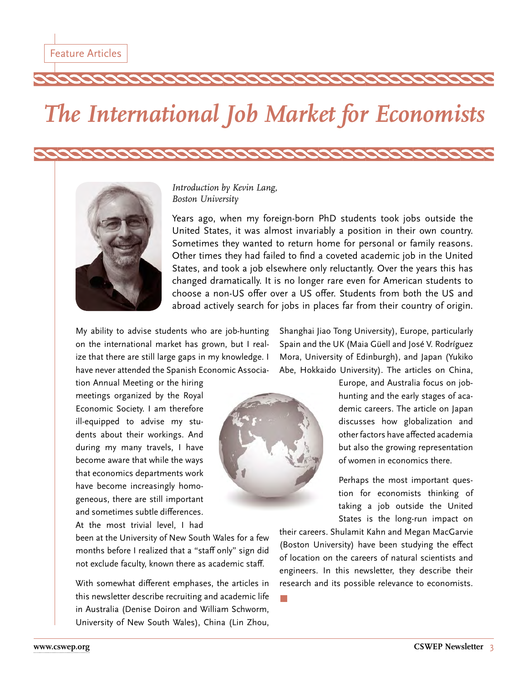# <span id="page-2-0"></span>*The International Job Market for Economists*



*Introduction by Kevin Lang, Boston University*

Years ago, when my foreign-born PhD students took jobs outside the United States, it was almost invariably a position in their own country. Sometimes they wanted to return home for personal or family reasons. Other times they had failed to find a coveted academic job in the United States, and took a job elsewhere only reluctantly. Over the years this has changed dramatically. It is no longer rare even for American students to choose a non-US offer over a US offer. Students from both the US and abroad actively search for jobs in places far from their country of origin.

My ability to advise students who are job-hunting on the international market has grown, but I realize that there are still large gaps in my knowledge. I have never attended the Spanish Economic Associa-

tion Annual Meeting or the hiring meetings organized by the Royal Economic Society. I am therefore ill-equipped to advise my students about their workings. And during my many travels, I have become aware that while the ways that economics departments work have become increasingly homogeneous, there are still important and sometimes subtle differences. At the most trivial level, I had



Abe, Hokkaido University). The articles on China, Europe, and Australia focus on jobhunting and the early stages of academic careers. The article on Japan discusses how globalization and other factors have affected academia

Shanghai Jiao Tong University), Europe, particularly Spain and the UK (Maia Güell and José V. Rodríguez Mora, University of Edinburgh), and Japan (Yukiko

> Perhaps the most important question for economists thinking of taking a job outside the United States is the long-run impact on

> but also the growing representation of women in economics there.

been at the University of New South Wales for a few months before I realized that a "staff only" sign did not exclude faculty, known there as academic staff.

With somewhat different emphases, the articles in this newsletter describe recruiting and academic life in Australia (Denise Doiron and William Schworm, University of New South Wales), China (Lin Zhou,

their careers. Shulamit Kahn and Megan MacGarvie (Boston University) have been studying the effect of location on the careers of natural scientists and engineers. In this newsletter, they describe their research and its possible relevance to economists.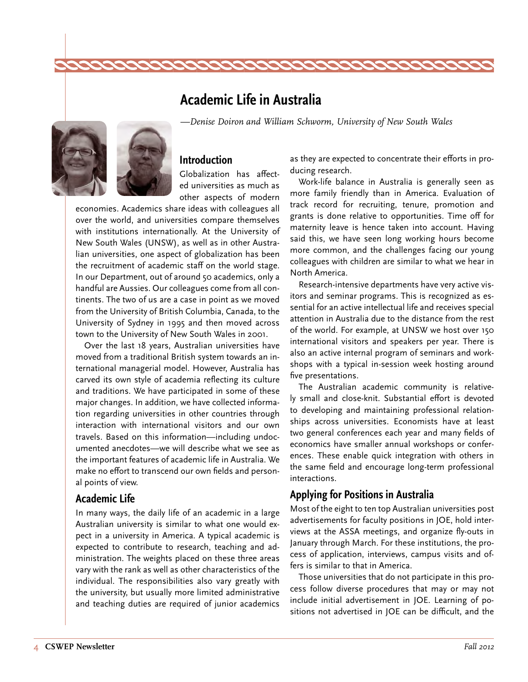### **Academic Life in Australia**

*—Denise Doiron and William Schworm, University of New South Wales*

<span id="page-3-0"></span>

**Introduction**

Globalization has affected universities as much as other aspects of modern

economies. Academics share ideas with colleagues all over the world, and universities compare themselves with institutions internationally. At the University of New South Wales (UNSW), as well as in other Australian universities, one aspect of globalization has been the recruitment of academic staff on the world stage. In our Department, out of around 50 academics, only a handful are Aussies. Our colleagues come from all continents. The two of us are a case in point as we moved from the University of British Columbia, Canada, to the University of Sydney in 1995 and then moved across town to the University of New South Wales in 2001.

Over the last 18 years, Australian universities have moved from a traditional British system towards an international managerial model. However, Australia has carved its own style of academia reflecting its culture and traditions. We have participated in some of these major changes. In addition, we have collected information regarding universities in other countries through interaction with international visitors and our own travels. Based on this information—including undocumented anecdotes—we will describe what we see as the important features of academic life in Australia. We make no effort to transcend our own fields and personal points of view.

#### **Academic Life**

In many ways, the daily life of an academic in a large Australian university is similar to what one would expect in a university in America. A typical academic is expected to contribute to research, teaching and administration. The weights placed on these three areas vary with the rank as well as other characteristics of the individual. The responsibilities also vary greatly with the university, but usually more limited administrative and teaching duties are required of junior academics

as they are expected to concentrate their efforts in producing research.

Work-life balance in Australia is generally seen as more family friendly than in America. Evaluation of track record for recruiting, tenure, promotion and grants is done relative to opportunities. Time off for maternity leave is hence taken into account. Having said this, we have seen long working hours become more common, and the challenges facing our young colleagues with children are similar to what we hear in North America.

Research-intensive departments have very active visitors and seminar programs. This is recognized as essential for an active intellectual life and receives special attention in Australia due to the distance from the rest of the world. For example, at UNSW we host over 150 international visitors and speakers per year. There is also an active internal program of seminars and workshops with a typical in-session week hosting around five presentations.

The Australian academic community is relatively small and close-knit. Substantial effort is devoted to developing and maintaining professional relationships across universities. Economists have at least two general conferences each year and many fields of economics have smaller annual workshops or conferences. These enable quick integration with others in the same field and encourage long-term professional interactions.

#### **Applying for Positions in Australia**

Most of the eight to ten top Australian universities post advertisements for faculty positions in JOE, hold interviews at the ASSA meetings, and organize fly-outs in January through March. For these institutions, the process of application, interviews, campus visits and offers is similar to that in America.

Those universities that do not participate in this process follow diverse procedures that may or may not include initial advertisement in JOE. Learning of positions not advertised in JOE can be difficult, and the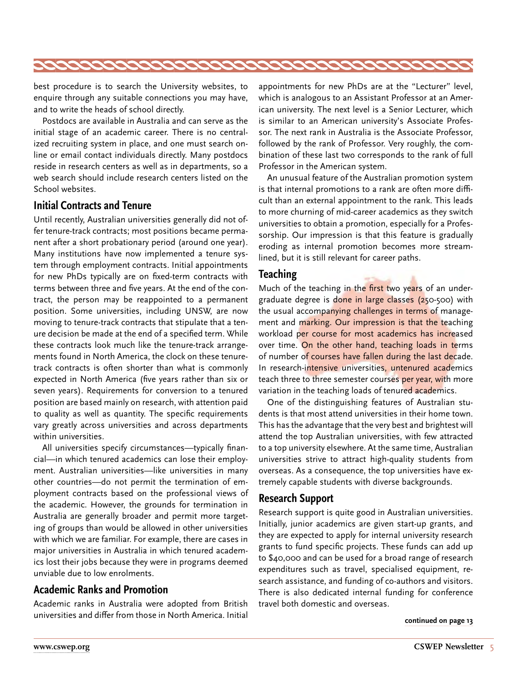<span id="page-4-0"></span>

best procedure is to search the University websites, to enquire through any suitable connections you may have, and to write the heads of school directly.

Postdocs are available in Australia and can serve as the initial stage of an academic career. There is no centralized recruiting system in place, and one must search online or email contact individuals directly. Many postdocs reside in research centers as well as in departments, so a web search should include research centers listed on the School websites.

#### **Initial Contracts and Tenure**

Until recently, Australian universities generally did not offer tenure-track contracts; most positions became permanent after a short probationary period (around one year). Many institutions have now implemented a tenure system through employment contracts. Initial appointments for new PhDs typically are on fixed-term contracts with terms between three and five years. At the end of the contract, the person may be reappointed to a permanent position. Some universities, including UNSW, are now moving to tenure-track contracts that stipulate that a tenure decision be made at the end of a specified term. While these contracts look much like the tenure-track arrangements found in North America, the clock on these tenuretrack contracts is often shorter than what is commonly expected in North America (five years rather than six or seven years). Requirements for conversion to a tenured position are based mainly on research, with attention paid to quality as well as quantity. The specific requirements vary greatly across universities and across departments within universities.

All universities specify circumstances—typically financial—in which tenured academics can lose their employment. Australian universities—like universities in many other countries—do not permit the termination of employment contracts based on the professional views of the academic. However, the grounds for termination in Australia are generally broader and permit more targeting of groups than would be allowed in other universities with which we are familiar. For example, there are cases in major universities in Australia in which tenured academics lost their jobs because they were in programs deemed unviable due to low enrolments.

#### **Academic Ranks and Promotion**

Academic ranks in Australia were adopted from British universities and differ from those in North America. Initial appointments for new PhDs are at the "Lecturer" level, which is analogous to an Assistant Professor at an American university. The next level is a Senior Lecturer, which is similar to an American university's Associate Professor. The next rank in Australia is the Associate Professor, followed by the rank of Professor. Very roughly, the combination of these last two corresponds to the rank of full Professor in the American system.

An unusual feature of the Australian promotion system is that internal promotions to a rank are often more difficult than an external appointment to the rank. This leads to more churning of mid-career academics as they switch universities to obtain a promotion, especially for a Professorship. Our impression is that this feature is gradually eroding as internal promotion becomes more streamlined, but it is still relevant for career paths.

#### **Teaching**

Much of the teaching in the first two years of an undergraduate degree is done in large classes (250-500) with the usual accompanying challenges in terms of management and marking. Our impression is that the teaching workload per course for most academics has increased over time. On the other hand, teaching loads in terms of number of courses have fallen during the last decade. In research-intensive universities, untenured academics teach three to three semester courses per year, with more variation in the teaching loads of tenured academics.

One of the distinguishing features of Australian students is that most attend universities in their home town. This has the advantage that the very best and brightest will attend the top Australian universities, with few attracted to a top university elsewhere. At the same time, Australian universities strive to attract high-quality students from overseas. As a consequence, the top universities have extremely capable students with diverse backgrounds.

#### **Research Support**

Research support is quite good in Australian universities. Initially, junior academics are given start-up grants, and they are expected to apply for internal university research grants to fund specific projects. These funds can add up to \$40,000 and can be used for a broad range of research expenditures such as travel, specialised equipment, research assistance, and funding of co-authors and visitors. There is also dedicated internal funding for conference travel both domestic and overseas.

**[continued on page 13](#page-12-0)**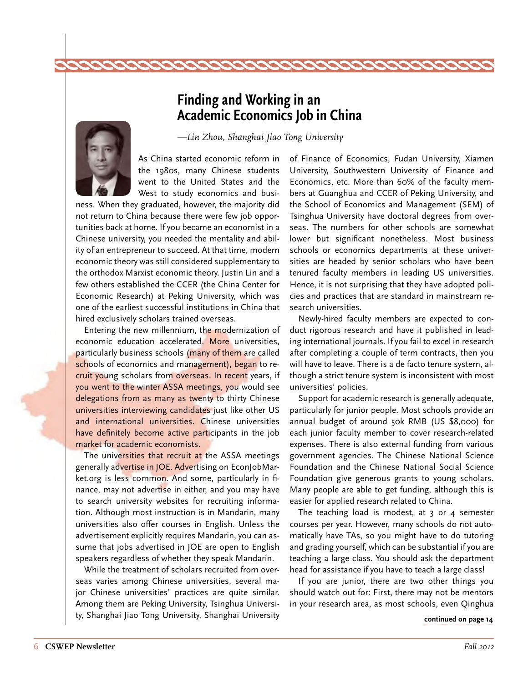### **Finding and Working in an Academic Economics Job in China**

*—Lin Zhou, Shanghai Jiao Tong University*

<span id="page-5-0"></span>

As China started economic reform in the 1980s, many Chinese students went to the United States and the West to study economics and busi-

ness. When they graduated, however, the majority did not return to China because there were few job opportunities back at home. If you became an economist in a Chinese university, you needed the mentality and ability of an entrepreneur to succeed. At that time, modern economic theory was still considered supplementary to the orthodox Marxist economic theory. Justin Lin and a few others established the CCER (the China Center for Economic Research) at Peking University, which was one of the earliest successful institutions in China that hired exclusively scholars trained overseas.

Entering the new millennium, the modernization of economic education accelerated. More universities, particularly business schools (many of them are called schools of economics and management), began to recruit young scholars from overseas. In recent years, if you went to the winter ASSA meetings, you would see delegations from as many as twenty to thirty Chinese universities interviewing candidates just like other US and international universities. Chinese universities have definitely become active participants in the job market for academic economists.

The universities that recruit at the ASSA meetings generally advertise in JOE. Advertising on EconJobMarket.org is less common. And some, particularly in finance, may not advertise in either, and you may have to search university websites for recruiting information. Although most instruction is in Mandarin, many universities also offer courses in English. Unless the advertisement explicitly requires Mandarin, you can assume that jobs advertised in JOE are open to English speakers regardless of whether they speak Mandarin.

While the treatment of scholars recruited from overseas varies among Chinese universities, several major Chinese universities' practices are quite similar. Among them are Peking University, Tsinghua University, Shanghai Jiao Tong University, Shanghai University of Finance of Economics, Fudan University, Xiamen University, Southwestern University of Finance and Economics, etc. More than 60% of the faculty members at Guanghua and CCER of Peking University, and the School of Economics and Management (SEM) of Tsinghua University have doctoral degrees from overseas. The numbers for other schools are somewhat lower but significant nonetheless. Most business schools or economics departments at these universities are headed by senior scholars who have been tenured faculty members in leading US universities. Hence, it is not surprising that they have adopted policies and practices that are standard in mainstream research universities.

Newly-hired faculty members are expected to conduct rigorous research and have it published in leading international journals. If you fail to excel in research after completing a couple of term contracts, then you will have to leave. There is a de facto tenure system, although a strict tenure system is inconsistent with most universities' policies.

Support for academic research is generally adequate, particularly for junior people. Most schools provide an annual budget of around 50k RMB (US \$8,000) for each junior faculty member to cover research-related expenses. There is also external funding from various government agencies. The Chinese National Science Foundation and the Chinese National Social Science Foundation give generous grants to young scholars. Many people are able to get funding, although this is easier for applied research related to China.

The teaching load is modest, at 3 or 4 semester courses per year. However, many schools do not automatically have TAs, so you might have to do tutoring and grading yourself, which can be substantial if you are teaching a large class. You should ask the department head for assistance if you have to teach a large class!

If you are junior, there are two other things you should watch out for: First, there may not be mentors in your research area, as most schools, even Qinghua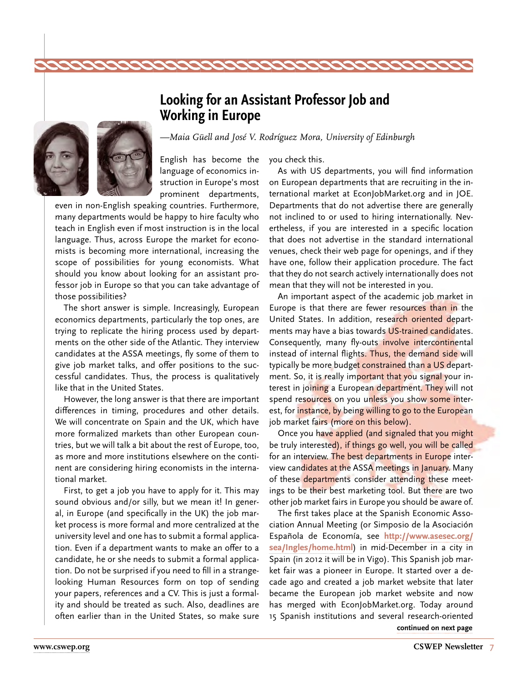### <span id="page-6-0"></span>**Looking for an Assistant Professor Job and Working in Europe**

*—Maia Güell and José V. Rodríguez Mora, University of Edinburgh*

English has become the language of economics instruction in Europe's most prominent departments,

even in non-English speaking countries. Furthermore, many departments would be happy to hire faculty who teach in English even if most instruction is in the local language. Thus, across Europe the market for economists is becoming more international, increasing the scope of possibilities for young economists. What should you know about looking for an assistant professor job in Europe so that you can take advantage of those possibilities?

The short answer is simple. Increasingly, European economics departments, particularly the top ones, are trying to replicate the hiring process used by departments on the other side of the Atlantic. They interview candidates at the ASSA meetings, fly some of them to give job market talks, and offer positions to the successful candidates. Thus, the process is qualitatively like that in the United States.

However, the long answer is that there are important differences in timing, procedures and other details. We will concentrate on Spain and the UK, which have more formalized markets than other European countries, but we will talk a bit about the rest of Europe, too, as more and more institutions elsewhere on the continent are considering hiring economists in the international market.

First, to get a job you have to apply for it. This may sound obvious and/or silly, but we mean it! In general, in Europe (and specifically in the UK) the job market process is more formal and more centralized at the university level and one has to submit a formal application. Even if a department wants to make an offer to a candidate, he or she needs to submit a formal application. Do not be surprised if you need to fill in a strangelooking Human Resources form on top of sending your papers, references and a CV. This is just a formality and should be treated as such. Also, deadlines are often earlier than in the United States, so make sure you check this.

As with US departments, you will find information on European departments that are recruiting in the international market at EconJobMarket.org and in JOE. Departments that do not advertise there are generally not inclined to or used to hiring internationally. Nevertheless, if you are interested in a specific location that does not advertise in the standard international venues, check their web page for openings, and if they have one, follow their application procedure. The fact that they do not search actively internationally does not mean that they will not be interested in you.

An important aspect of the academic job market in Europe is that there are fewer resources than in the United States. In addition, research oriented departments may have a bias towards US-trained candidates. Consequently, many fly-outs involve intercontinental instead of internal flights. Thus, the demand side will typically be more budget constrained than a US department. So, it is really important that you signal your interest in joining a European department. They will not spend resources on you unless you show some interest, for instance, by being willing to go to the European job market fairs (more on this below).

Once you have applied (and signaled that you might be truly interested), if things go well, you will be called for an interview. The best departments in Europe interview candidates at the ASSA meetings in January. Many of these departments consider attending these meetings to be their best marketing tool. But there are two other job market fairs in Europe you should be aware of.

The first takes place at the Spanish Economic Association Annual Meeting (or Simposio de la Asociación Española de Economía, see **[http://www.asesec.org/](http://www.asesec.org/sea/Ingles/home.html) [sea/Ingles/home.html](http://www.asesec.org/sea/Ingles/home.html)**) in mid-December in a city in Spain (in 2012 it will be in Vigo). This Spanish job market fair was a pioneer in Europe. It started over a decade ago and created a job market website that later became the European job market website and now has merged with EconJobMarket.org. Today around 15 Spanish institutions and several research-oriented **[continued on next page](#page-7-0)**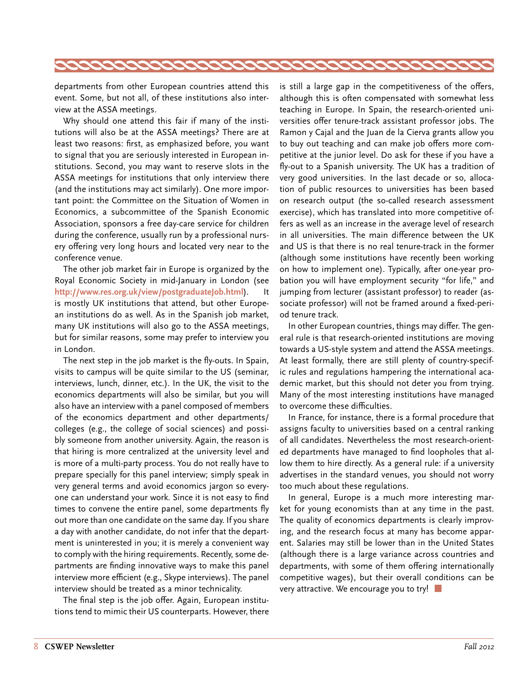<span id="page-7-0"></span>

departments from other European countries attend this event. Some, but not all, of these institutions also interview at the ASSA meetings.

Why should one attend this fair if many of the institutions will also be at the ASSA meetings? There are at least two reasons: first, as emphasized before, you want to signal that you are seriously interested in European institutions. Second, you may want to reserve slots in the ASSA meetings for institutions that only interview there (and the institutions may act similarly). One more important point: the Committee on the Situation of Women in Economics, a subcommittee of the Spanish Economic Association, sponsors a free day-care service for children during the conference, usually run by a professional nursery offering very long hours and located very near to the conference venue.

The other job market fair in Europe is organized by the Royal Economic Society in mid-January in London (see **<http://www.res.org.uk/view/postgraduateJob.html>**). It is mostly UK institutions that attend, but other European institutions do as well. As in the Spanish job market, many UK institutions will also go to the ASSA meetings, but for similar reasons, some may prefer to interview you in London.

The next step in the job market is the fly-outs. In Spain, visits to campus will be quite similar to the US (seminar, interviews, lunch, dinner, etc.). In the UK, the visit to the economics departments will also be similar, but you will also have an interview with a panel composed of members of the economics department and other departments/ colleges (e.g., the college of social sciences) and possibly someone from another university. Again, the reason is that hiring is more centralized at the university level and is more of a multi-party process. You do not really have to prepare specially for this panel interview; simply speak in very general terms and avoid economics jargon so everyone can understand your work. Since it is not easy to find times to convene the entire panel, some departments fly out more than one candidate on the same day. If you share a day with another candidate, do not infer that the department is uninterested in you; it is merely a convenient way to comply with the hiring requirements. Recently, some departments are finding innovative ways to make this panel interview more efficient (e.g., Skype interviews). The panel interview should be treated as a minor technicality.

The final step is the job offer. Again, European institutions tend to mimic their US counterparts. However, there is still a large gap in the competitiveness of the offers, although this is often compensated with somewhat less teaching in Europe. In Spain, the research-oriented universities offer tenure-track assistant professor jobs. The Ramon y Cajal and the Juan de la Cierva grants allow you to buy out teaching and can make job offers more competitive at the junior level. Do ask for these if you have a fly-out to a Spanish university. The UK has a tradition of very good universities. In the last decade or so, allocation of public resources to universities has been based on research output (the so-called research assessment exercise), which has translated into more competitive offers as well as an increase in the average level of research in all universities. The main difference between the UK and US is that there is no real tenure-track in the former (although some institutions have recently been working on how to implement one). Typically, after one-year probation you will have employment security "for life," and jumping from lecturer (assistant professor) to reader (associate professor) will not be framed around a fixed-period tenure track.

In other European countries, things may differ. The general rule is that research-oriented institutions are moving towards a US-style system and attend the ASSA meetings. At least formally, there are still plenty of country-specific rules and regulations hampering the international academic market, but this should not deter you from trying. Many of the most interesting institutions have managed to overcome these difficulties.

In France, for instance, there is a formal procedure that assigns faculty to universities based on a central ranking of all candidates. Nevertheless the most research-oriented departments have managed to find loopholes that allow them to hire directly. As a general rule: if a university advertises in the standard venues, you should not worry too much about these regulations.

In general, Europe is a much more interesting market for young economists than at any time in the past. The quality of economics departments is clearly improving, and the research focus at many has become apparent. Salaries may still be lower than in the United States (although there is a large variance across countries and departments, with some of them offering internationally competitive wages), but their overall conditions can be very attractive. We encourage you to try!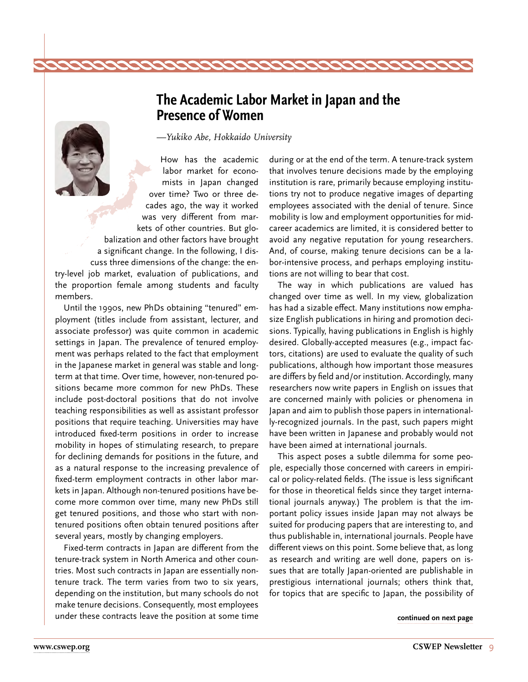### **The Academic Labor Market in Japan and the Presence of Women**

*—Yukiko Abe, Hokkaido University*

<span id="page-8-0"></span>How has the academic labor market for economists in Japan changed over time? Two or three decades ago, the way it worked was very different from markets of other countries. But globalization and other factors have brought a significant change. In the following, I discuss three dimensions of the change: the entry-level job market, evaluation of publications, and the proportion female among students and faculty members.

Until the 1990s, new PhDs obtaining "tenured" employment (titles include from assistant, lecturer, and associate professor) was quite common in academic settings in Japan. The prevalence of tenured employment was perhaps related to the fact that employment in the Japanese market in general was stable and longterm at that time. Over time, however, non-tenured positions became more common for new PhDs. These include post-doctoral positions that do not involve teaching responsibilities as well as assistant professor positions that require teaching. Universities may have introduced fixed-term positions in order to increase mobility in hopes of stimulating research, to prepare for declining demands for positions in the future, and as a natural response to the increasing prevalence of fixed-term employment contracts in other labor markets in Japan. Although non-tenured positions have become more common over time, many new PhDs still get tenured positions, and those who start with nontenured positions often obtain tenured positions after several years, mostly by changing employers.

Fixed-term contracts in Japan are different from the tenure-track system in North America and other countries. Most such contracts in Japan are essentially nontenure track. The term varies from two to six years, depending on the institution, but many schools do not make tenure decisions. Consequently, most employees under these contracts leave the position at some time **[continued on next page](#page-9-0)**

during or at the end of the term. A tenure-track system that involves tenure decisions made by the employing institution is rare, primarily because employing institutions try not to produce negative images of departing employees associated with the denial of tenure. Since mobility is low and employment opportunities for midcareer academics are limited, it is considered better to avoid any negative reputation for young researchers. And, of course, making tenure decisions can be a labor-intensive process, and perhaps employing institutions are not willing to bear that cost.

The way in which publications are valued has changed over time as well. In my view, globalization has had a sizable effect. Many institutions now emphasize English publications in hiring and promotion decisions. Typically, having publications in English is highly desired. Globally-accepted measures (e.g., impact factors, citations) are used to evaluate the quality of such publications, although how important those measures are differs by field and/or institution. Accordingly, many researchers now write papers in English on issues that are concerned mainly with policies or phenomena in Japan and aim to publish those papers in internationally-recognized journals. In the past, such papers might have been written in Japanese and probably would not have been aimed at international journals.

This aspect poses a subtle dilemma for some people, especially those concerned with careers in empirical or policy-related fields. (The issue is less significant for those in theoretical fields since they target international journals anyway.) The problem is that the important policy issues inside Japan may not always be suited for producing papers that are interesting to, and thus publishable in, international journals. People have different views on this point. Some believe that, as long as research and writing are well done, papers on issues that are totally Japan-oriented are publishable in prestigious international journals; others think that, for topics that are specific to Japan, the possibility of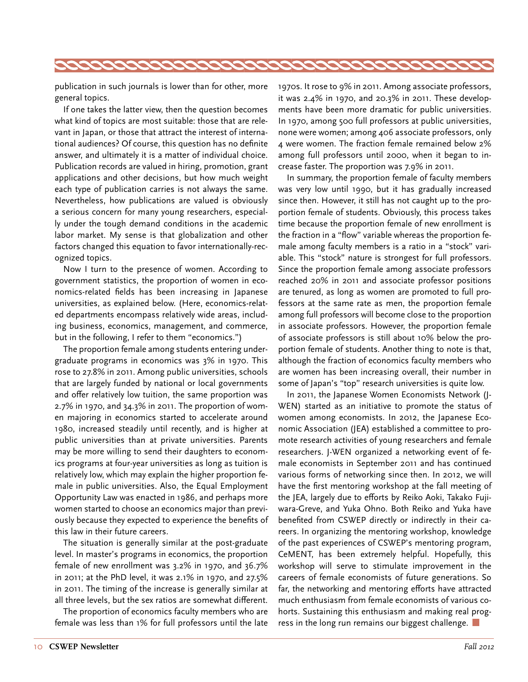<span id="page-9-0"></span>

publication in such journals is lower than for other, more general topics.

If one takes the latter view, then the question becomes what kind of topics are most suitable: those that are relevant in Japan, or those that attract the interest of international audiences? Of course, this question has no definite answer, and ultimately it is a matter of individual choice. Publication records are valued in hiring, promotion, grant applications and other decisions, but how much weight each type of publication carries is not always the same. Nevertheless, how publications are valued is obviously a serious concern for many young researchers, especially under the tough demand conditions in the academic labor market. My sense is that globalization and other factors changed this equation to favor internationally-recognized topics.

Now I turn to the presence of women. According to government statistics, the proportion of women in economics-related fields has been increasing in Japanese universities, as explained below. (Here, economics-related departments encompass relatively wide areas, including business, economics, management, and commerce, but in the following, I refer to them "economics.")

The proportion female among students entering undergraduate programs in economics was 3% in 1970. This rose to 27.8% in 2011. Among public universities, schools that are largely funded by national or local governments and offer relatively low tuition, the same proportion was 2.7% in 1970, and 34.3% in 2011. The proportion of women majoring in economics started to accelerate around 1980, increased steadily until recently, and is higher at public universities than at private universities. Parents may be more willing to send their daughters to economics programs at four-year universities as long as tuition is relatively low, which may explain the higher proportion female in public universities. Also, the Equal Employment Opportunity Law was enacted in 1986, and perhaps more women started to choose an economics major than previously because they expected to experience the benefits of this law in their future careers.

The situation is generally similar at the post-graduate level. In master's programs in economics, the proportion female of new enrollment was 3.2% in 1970, and 36.7% in 2011; at the PhD level, it was 2.1% in 1970, and 27.5% in 2011. The timing of the increase is generally similar at all three levels, but the sex ratios are somewhat different.

The proportion of economics faculty members who are female was less than 1% for full professors until the late 1970s. It rose to 9% in 2011. Among associate professors, it was 2.4% in 1970, and 20.3% in 2011. These developments have been more dramatic for public universities. In 1970, among 500 full professors at public universities, none were women; among 406 associate professors, only 4 were women. The fraction female remained below 2% among full professors until 2000, when it began to increase faster. The proportion was 7.9% in 2011.

In summary, the proportion female of faculty members was very low until 1990, but it has gradually increased since then. However, it still has not caught up to the proportion female of students. Obviously, this process takes time because the proportion female of new enrollment is the fraction in a "flow" variable whereas the proportion female among faculty members is a ratio in a "stock" variable. This "stock" nature is strongest for full professors. Since the proportion female among associate professors reached 20% in 2011 and associate professor positions are tenured, as long as women are promoted to full professors at the same rate as men, the proportion female among full professors will become close to the proportion in associate professors. However, the proportion female of associate professors is still about 10% below the proportion female of students. Another thing to note is that, although the fraction of economics faculty members who are women has been increasing overall, their number in some of Japan's "top" research universities is quite low.

In 2011, the Japanese Women Economists Network (J-WEN) started as an initiative to promote the status of women among economists. In 2012, the Japanese Economic Association (JEA) established a committee to promote research activities of young researchers and female researchers. J-WEN organized a networking event of female economists in September 2011 and has continued various forms of networking since then. In 2012, we will have the first mentoring workshop at the fall meeting of the JEA, largely due to efforts by Reiko Aoki, Takako Fujiwara-Greve, and Yuka Ohno. Both Reiko and Yuka have benefited from CSWEP directly or indirectly in their careers. In organizing the mentoring workshop, knowledge of the past experiences of CSWEP's mentoring program, CeMENT, has been extremely helpful. Hopefully, this workshop will serve to stimulate improvement in the careers of female economists of future generations. So far, the networking and mentoring efforts have attracted much enthusiasm from female economists of various cohorts. Sustaining this enthusiasm and making real progress in the long run remains our biggest challenge.  $\Box$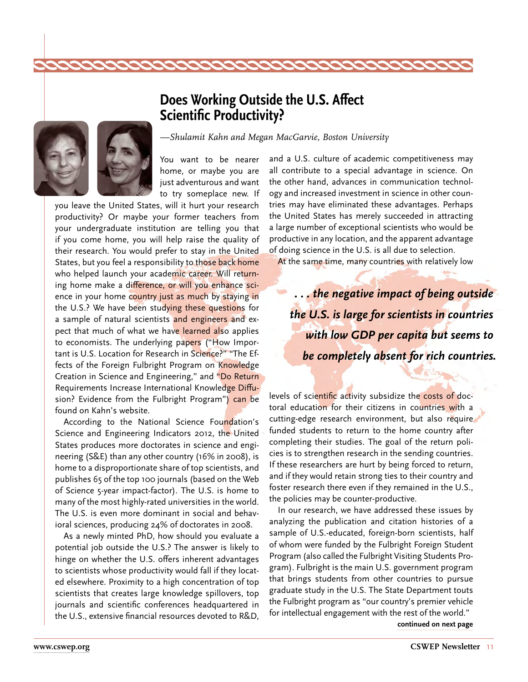### **Does Working Outside the U.S. Affect Scientific Productivity?**

<span id="page-10-0"></span>

*—Shulamit Kahn and Megan MacGarvie, Boston University*

You want to be nearer home, or maybe you are just adventurous and want to try someplace new. If

you leave the United States, will it hurt your research productivity? Or maybe your former teachers from your undergraduate institution are telling you that if you come home, you will help raise the quality of their research. You would prefer to stay in the United States, but you feel a responsibility to those back home who helped launch your academic career. Will returning home make a difference, or will you enhance science in your home country just as much by staying in the U.S.? We have been studying these questions for a sample of natural scientists and engineers and expect that much of what we have learned also applies to economists. The underlying papers ("How Important is U.S. Location for Research in Science?" "The Effects of the Foreign Fulbright Program on Knowledge Creation in Science and Engineering," and "Do Return Requirements Increase International Knowledge Diffusion? Evidence from the Fulbright Program") can be found on Kahn's website.

According to the National Science Foundation's Science and Engineering Indicators 2012, the United States produces more doctorates in science and engineering (S&E) than any other country (16% in 2008), is home to a disproportionate share of top scientists, and publishes 65 of the top 100 journals (based on the Web of Science 5-year impact-factor). The U.S. is home to many of the most highly-rated universities in the world. The U.S. is even more dominant in social and behavioral sciences, producing 24% of doctorates in 2008.

As a newly minted PhD, how should you evaluate a potential job outside the U.S.? The answer is likely to hinge on whether the U.S. offers inherent advantages to scientists whose productivity would fall if they located elsewhere. Proximity to a high concentration of top scientists that creates large knowledge spillovers, top journals and scientific conferences headquartered in the U.S., extensive financial resources devoted to R&D, and a U.S. culture of academic competitiveness may all contribute to a special advantage in science. On the other hand, advances in communication technology and increased investment in science in other countries may have eliminated these advantages. Perhaps the United States has merely succeeded in attracting a large number of exceptional scientists who would be productive in any location, and the apparent advantage of doing science in the U.S. is all due to selection.

At the same time, many countries with relatively low

*. . . the negative impact of being outside the U.S. is large for scientists in countries with low GDP per capita but seems to be completely absent for rich countries.*

levels of scientific activity subsidize the costs of doctoral education for their citizens in countries with a cutting-edge research environment, but also require funded students to return to the home country after completing their studies. The goal of the return policies is to strengthen research in the sending countries. If these researchers are hurt by being forced to return, and if they would retain strong ties to their country and foster research there even if they remained in the U.S., the policies may be counter-productive.

In our research, we have addressed these issues by analyzing the publication and citation histories of a sample of U.S.-educated, foreign-born scientists, half of whom were funded by the Fulbright Foreign Student Program (also called the Fulbright Visiting Students Program). Fulbright is the main U.S. government program that brings students from other countries to pursue graduate study in the U.S. The State Department touts the Fulbright program as "our country's premier vehicle for intellectual engagement with the rest of the world."

**[continued on next page](#page-11-0)**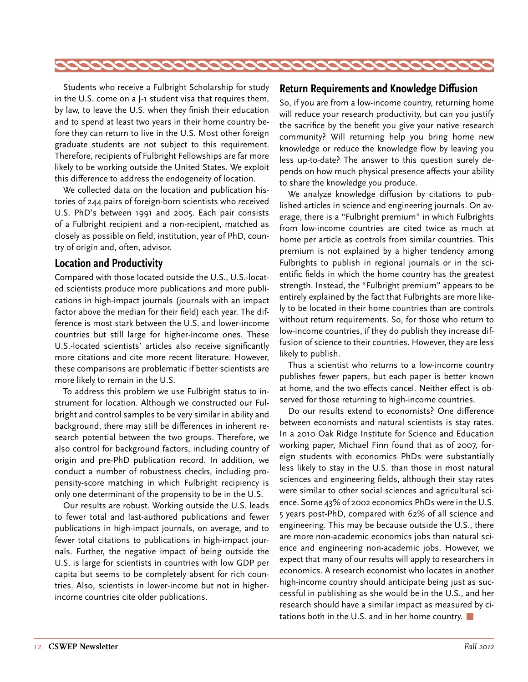<span id="page-11-0"></span>

Students who receive a Fulbright Scholarship for study in the U.S. come on a J-1 student visa that requires them, by law, to leave the U.S. when they finish their education and to spend at least two years in their home country before they can return to live in the U.S. Most other foreign graduate students are not subject to this requirement. Therefore, recipients of Fulbright Fellowships are far more likely to be working outside the United States. We exploit this difference to address the endogeneity of location.

We collected data on the location and publication histories of 244 pairs of foreign-born scientists who received U.S. PhD's between 1991 and 2005. Each pair consists of a Fulbright recipient and a non-recipient, matched as closely as possible on field, institution, year of PhD, country of origin and, often, advisor.

#### **Location and Productivity**

Compared with those located outside the U.S., U.S.-located scientists produce more publications and more publications in high-impact journals (journals with an impact factor above the median for their field) each year. The difference is most stark between the U.S. and lower-income countries but still large for higher-income ones. These U.S.-located scientists' articles also receive significantly more citations and cite more recent literature. However, these comparisons are problematic if better scientists are more likely to remain in the U.S.

To address this problem we use Fulbright status to instrument for location. Although we constructed our Fulbright and control samples to be very similar in ability and background, there may still be differences in inherent research potential between the two groups. Therefore, we also control for background factors, including country of origin and pre-PhD publication record. In addition, we conduct a number of robustness checks, including propensity-score matching in which Fulbright recipiency is only one determinant of the propensity to be in the U.S.

Our results are robust. Working outside the U.S. leads to fewer total and last-authored publications and fewer publications in high-impact journals, on average, and to fewer total citations to publications in high-impact journals. Further, the negative impact of being outside the U.S. is large for scientists in countries with low GDP per capita but seems to be completely absent for rich countries. Also, scientists in lower-income but not in higherincome countries cite older publications.

#### **Return Requirements and Knowledge Diffusion**

So, if you are from a low-income country, returning home will reduce your research productivity, but can you justify the sacrifice by the benefit you give your native research community? Will returning help you bring home new knowledge or reduce the knowledge flow by leaving you less up-to-date? The answer to this question surely depends on how much physical presence affects your ability to share the knowledge you produce.

We analyze knowledge diffusion by citations to published articles in science and engineering journals. On average, there is a "Fulbright premium" in which Fulbrights from low-income countries are cited twice as much at home per article as controls from similar countries. This premium is not explained by a higher tendency among Fulbrights to publish in regional journals or in the scientific fields in which the home country has the greatest strength. Instead, the "Fulbright premium" appears to be entirely explained by the fact that Fulbrights are more likely to be located in their home countries than are controls without return requirements. So, for those who return to low-income countries, if they do publish they increase diffusion of science to their countries. However, they are less likely to publish.

Thus a scientist who returns to a low-income country publishes fewer papers, but each paper is better known at home, and the two effects cancel. Neither effect is observed for those returning to high-income countries.

Do our results extend to economists? One difference between economists and natural scientists is stay rates. In a 2010 Oak Ridge Institute for Science and Education working paper, Michael Finn found that as of 2007, foreign students with economics PhDs were substantially less likely to stay in the U.S. than those in most natural sciences and engineering fields, although their stay rates were similar to other social sciences and agricultural science. Some 43% of 2002 economics PhDs were in the U.S. 5 years post-PhD, compared with 62% of all science and engineering. This may be because outside the U.S., there are more non-academic economics jobs than natural science and engineering non-academic jobs. However, we expect that many of our results will apply to researchers in economics. A research economist who locates in another high-income country should anticipate being just as successful in publishing as she would be in the U.S., and her research should have a similar impact as measured by citations both in the U.S. and in her home country.  $\Box$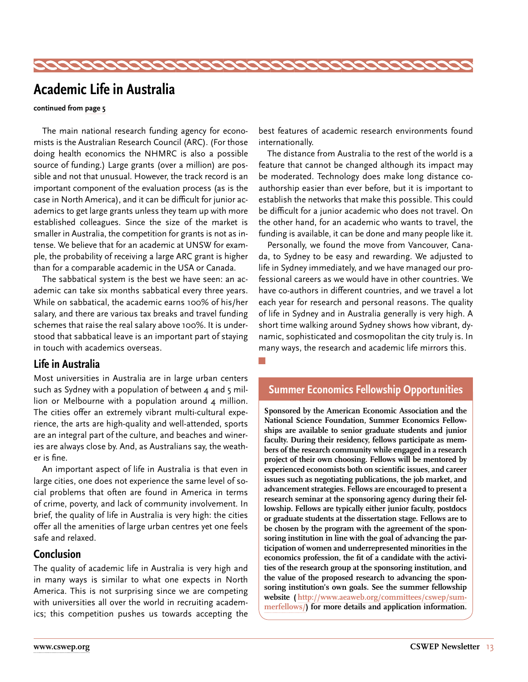<span id="page-12-0"></span>

### **Academic Life in Australia**

#### **continued from [page 5](#page-4-0)**

The main national research funding agency for economists is the Australian Research Council (ARC). (For those doing health economics the NHMRC is also a possible source of funding.) Large grants (over a million) are possible and not that unusual. However, the track record is an important component of the evaluation process (as is the case in North America), and it can be difficult for junior academics to get large grants unless they team up with more established colleagues. Since the size of the market is smaller in Australia, the competition for grants is not as intense. We believe that for an academic at UNSW for example, the probability of receiving a large ARC grant is higher than for a comparable academic in the USA or Canada.

The sabbatical system is the best we have seen: an academic can take six months sabbatical every three years. While on sabbatical, the academic earns 100% of his/her salary, and there are various tax breaks and travel funding schemes that raise the real salary above 100%. It is understood that sabbatical leave is an important part of staying in touch with academics overseas.

#### **Life in Australia**

Most universities in Australia are in large urban centers such as Sydney with a population of between  $4$  and  $5$  million or Melbourne with a population around  $4$  million. The cities offer an extremely vibrant multi-cultural experience, the arts are high-quality and well-attended, sports are an integral part of the culture, and beaches and wineries are always close by. And, as Australians say, the weather is fine.

An important aspect of life in Australia is that even in large cities, one does not experience the same level of social problems that often are found in America in terms of crime, poverty, and lack of community involvement. In brief, the quality of life in Australia is very high: the cities offer all the amenities of large urban centres yet one feels safe and relaxed.

#### **Conclusion**

The quality of academic life in Australia is very high and in many ways is similar to what one expects in North America. This is not surprising since we are competing with universities all over the world in recruiting academics; this competition pushes us towards accepting the

best features of academic research environments found internationally.

The distance from Australia to the rest of the world is a feature that cannot be changed although its impact may be moderated. Technology does make long distance coauthorship easier than ever before, but it is important to establish the networks that make this possible. This could be difficult for a junior academic who does not travel. On the other hand, for an academic who wants to travel, the funding is available, it can be done and many people like it.

Personally, we found the move from Vancouver, Canada, to Sydney to be easy and rewarding. We adjusted to life in Sydney immediately, and we have managed our professional careers as we would have in other countries. We have co-authors in different countries, and we travel a lot each year for research and personal reasons. The quality of life in Sydney and in Australia generally is very high. A short time walking around Sydney shows how vibrant, dynamic, sophisticated and cosmopolitan the city truly is. In many ways, the research and academic life mirrors this.

n.

#### **Summer Economics Fellowship Opportunities**

**Sponsored by the American Economic Association and the National Science Foundation, Summer Economics Fellowships are available to senior graduate students and junior faculty. During their residency, fellows participate as members of the research community while engaged in a research project of their own choosing. Fellows will be mentored by experienced economists both on scientific issues, and career issues such as negotiating publications, the job market, and advancement strategies. Fellows are encouraged to present a research seminar at the sponsoring agency during their fellowship. Fellows are typically either junior faculty, postdocs or graduate students at the dissertation stage. Fellows are to be chosen by the program with the agreement of the sponsoring institution in line with the goal of advancing the participation of women and underrepresented minorities in the economics profession, the fit of a candidate with the activities of the research group at the sponsoring institution, and the value of the proposed research to advancing the sponsoring institution's own goals. See the summer fellowship website ( [http://www.aeaweb.org/committees/cswep/sum](http://www.aeaweb.org/committees/cswep/summerfellows/)[merfellows/\)](http://www.aeaweb.org/committees/cswep/summerfellows/) for more details and application information.**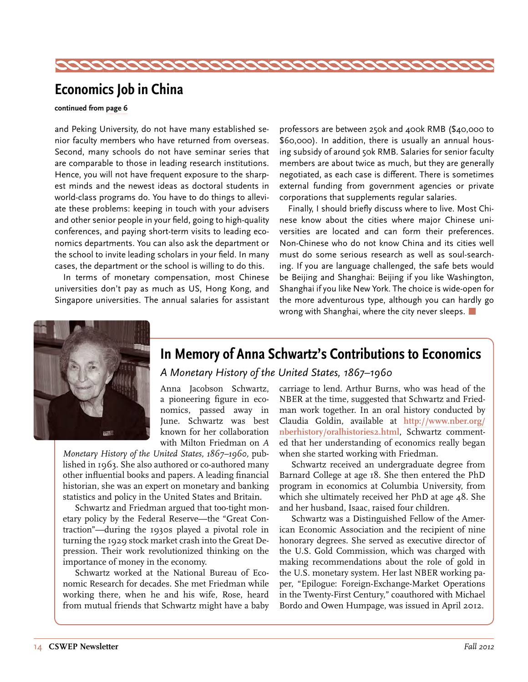<span id="page-13-0"></span>

### **Economics Job in China**

#### **continued from [page 6](#page-5-0)**

and Peking University, do not have many established senior faculty members who have returned from overseas. Second, many schools do not have seminar series that are comparable to those in leading research institutions. Hence, you will not have frequent exposure to the sharpest minds and the newest ideas as doctoral students in world-class programs do. You have to do things to alleviate these problems: keeping in touch with your advisers and other senior people in your field, going to high-quality conferences, and paying short-term visits to leading economics departments. You can also ask the department or the school to invite leading scholars in your field. In many cases, the department or the school is willing to do this.

In terms of monetary compensation, most Chinese universities don't pay as much as US, Hong Kong, and Singapore universities. The annual salaries for assistant professors are between 250k and 400k RMB (\$40,000 to \$60,000). In addition, there is usually an annual housing subsidy of around 50k RMB. Salaries for senior faculty members are about twice as much, but they are generally negotiated, as each case is different. There is sometimes external funding from government agencies or private corporations that supplements regular salaries.

Finally, I should briefly discuss where to live. Most Chinese know about the cities where major Chinese universities are located and can form their preferences. Non-Chinese who do not know China and its cities well must do some serious research as well as soul-searching. If you are language challenged, the safe bets would be Beijing and Shanghai: Beijing if you like Washington, Shanghai if you like New York. The choice is wide-open for the more adventurous type, although you can hardly go wrong with Shanghai, where the city never sleeps.  $\Box$ 



### **In Memory of Anna Schwartz's Contributions to Economics**

### *A Monetary History of the United States, 1867–1960*

Anna Jacobson Schwartz, a pioneering figure in economics, passed away in June. Schwartz was best known for her collaboration with Milton Friedman on *A* 

*Monetary History of the United States, 1867–1960,* published in 1963. She also authored or co-authored many other influential books and papers. A leading financial historian, she was an expert on monetary and banking statistics and policy in the United States and Britain.

Schwartz and Friedman argued that too-tight monetary policy by the Federal Reserve—the "Great Contraction"—during the 1930s played a pivotal role in turning the 1929 stock market crash into the Great Depression. Their work revolutionized thinking on the importance of money in the economy.

Schwartz worked at the National Bureau of Economic Research for decades. She met Friedman while working there, when he and his wife, Rose, heard from mutual friends that Schwartz might have a baby carriage to lend. Arthur Burns, who was head of the NBER at the time, suggested that Schwartz and Friedman work together. In an oral history conducted by Claudia Goldin, available at **[http://www.nber.org/](http://www.nber.org/nberhistory/oralhistories2.html) [nberhistory/oralhistories2.html](http://www.nber.org/nberhistory/oralhistories2.html)**, Schwartz commented that her understanding of economics really began when she started working with Friedman.

Schwartz received an undergraduate degree from Barnard College at age 18. She then entered the PhD program in economics at Columbia University, from which she ultimately received her PhD at age 48. She and her husband, Isaac, raised four children.

Schwartz was a Distinguished Fellow of the American Economic Association and the recipient of nine honorary degrees. She served as executive director of the U.S. Gold Commission, which was charged with making recommendations about the role of gold in the U.S. monetary system. Her last NBER working paper, "Epilogue: Foreign-Exchange-Market Operations in the Twenty-First Century," coauthored with Michael Bordo and Owen Humpage, was issued in April 2012.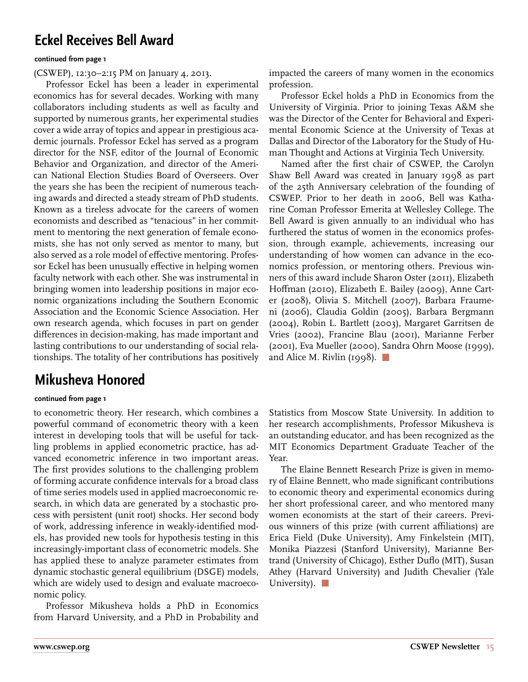### <span id="page-14-0"></span>**Eckel Receives Bell Award**

#### **continued from [page 1](#page-0-0)**

(CSWEP), 12:30–2:15 PM on January 4, 2013.

Professor Eckel has been a leader in experimental economics has for several decades. Working with many collaborators including students as well as faculty and supported by numerous grants, her experimental studies cover a wide array of topics and appear in prestigious academic journals. Professor Eckel has served as a program director for the NSF, editor of the Journal of Economic Behavior and Organization, and director of the American National Election Studies Board of Overseers. Over the years she has been the recipient of numerous teaching awards and directed a steady stream of PhD students. Known as a tireless advocate for the careers of women economists and described as "tenacious" in her commitment to mentoring the next generation of female economists, she has not only served as mentor to many, but also served as a role model of effective mentoring. Professor Eckel has been unusually effective in helping women faculty network with each other. She was instrumental in bringing women into leadership positions in major economic organizations including the Southern Economic Association and the Economic Science Association. Her own research agenda, which focuses in part on gender differences in decision-making, has made important and lasting contributions to our understanding of social relationships. The totality of her contributions has positively

### **Mikusheva Honored**

#### **continued from [page 1](#page-0-0)**

to econometric theory. Her research, which combines a powerful command of econometric theory with a keen interest in developing tools that will be useful for tackling problems in applied econometric practice, has advanced econometric inference in two important areas. The first provides solutions to the challenging problem of forming accurate confidence intervals for a broad class of time series models used in applied macroeconomic research, in which data are generated by a stochastic process with persistent (unit root) shocks. Her second body of work, addressing inference in weakly-identified models, has provided new tools for hypothesis testing in this increasingly-important class of econometric models. She has applied these to analyze parameter estimates from dynamic stochastic general equilibrium (DSGE) models, which are widely used to design and evaluate macroeconomic policy.

Professor Mikusheva holds a PhD in Economics from Harvard University, and a PhD in Probability and

impacted the careers of many women in the economics profession.

Professor Eckel holds a PhD in Economics from the University of Virginia. Prior to joining Texas A&M she was the Director of the Center for Behavioral and Experimental Economic Science at the University of Texas at Dallas and Director of the Laboratory for the Study of Human Thought and Actions at Virginia Tech University.

Named after the first chair of CSWEP, the Carolyn Shaw Bell Award was created in January 1998 as part of the 25th Anniversary celebration of the founding of CSWEP. Prior to her death in 2006, Bell was Katharine Coman Professor Emerita at Wellesley College. The Bell Award is given annually to an individual who has furthered the status of women in the economics profession, through example, achievements, increasing our understanding of how women can advance in the economics profession, or mentoring others. Previous winners of this award include Sharon Oster (2011), Elizabeth Hoffman (2010), Elizabeth E. Bailey (2009), Anne Carter (2008), Olivia S. Mitchell (2007), Barbara Fraumeni (2006), Claudia Goldin (2005), Barbara Bergmann (2004), Robin L. Bartlett (2003), Margaret Garritsen de Vries (2002), Francine Blau (2001), Marianne Ferber (2001), Eva Mueller (2000), Sandra Ohrn Moose (1999), and Alice M. Rivlin (1998).  $\Box$ 

Statistics from Moscow State University. In addition to her research accomplishments, Professor Mikusheva is an outstanding educator, and has been recognized as the MIT Economics Department Graduate Teacher of the Year.

The Elaine Bennett Research Prize is given in memory of Elaine Bennett, who made significant contributions to economic theory and experimental economics during her short professional career, and who mentored many women economists at the start of their careers. Previous winners of this prize (with current affiliations) are Erica Field (Duke University), Amy Finkelstein (MIT), Monika Piazzesi (Stanford University), Marianne Bertrand (University of Chicago), Esther Duflo (MIT), Susan Athey (Harvard University) and Judith Chevalier (Yale University).  $\Box$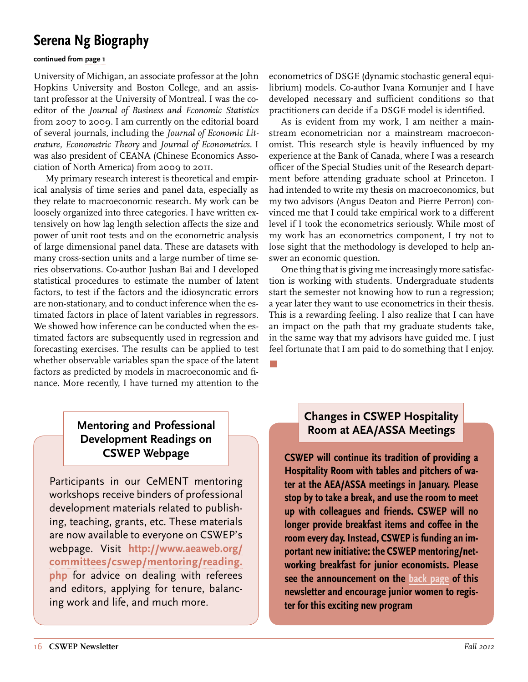### <span id="page-15-0"></span>**Serena Ng Biography**

#### **continued from [page 1](#page-0-0)**

University of Michigan, an associate professor at the John Hopkins University and Boston College, and an assistant professor at the University of Montreal. I was the coeditor of the *Journal of Business and Economic Statistics* from 2007 to 2009. I am currently on the editorial board of several journals, including the *Journal of Economic Literature, Econometric Theory* and *Journal of Econometrics.* I was also president of CEANA (Chinese Economics Association of North America) from 2009 to 2011.

My primary research interest is theoretical and empirical analysis of time series and panel data, especially as they relate to macroeconomic research. My work can be loosely organized into three categories. I have written extensively on how lag length selection affects the size and power of unit root tests and on the econometric analysis of large dimensional panel data. These are datasets with many cross-section units and a large number of time series observations. Co-author Jushan Bai and I developed statistical procedures to estimate the number of latent factors, to test if the factors and the idiosyncratic errors are non-stationary, and to conduct inference when the estimated factors in place of latent variables in regressors. We showed how inference can be conducted when the estimated factors are subsequently used in regression and forecasting exercises. The results can be applied to test whether observable variables span the space of the latent factors as predicted by models in macroeconomic and finance. More recently, I have turned my attention to the

econometrics of DSGE (dynamic stochastic general equilibrium) models. Co-author Ivana Komunjer and I have developed necessary and sufficient conditions so that practitioners can decide if a DSGE model is identified.

As is evident from my work, I am neither a mainstream econometrician nor a mainstream macroeconomist. This research style is heavily influenced by my experience at the Bank of Canada, where I was a research officer of the Special Studies unit of the Research department before attending graduate school at Princeton. I had intended to write my thesis on macroeconomics, but my two advisors (Angus Deaton and Pierre Perron) convinced me that I could take empirical work to a different level if I took the econometrics seriously. While most of my work has an econometrics component, I try not to lose sight that the methodology is developed to help answer an economic question.

One thing that is giving me increasingly more satisfaction is working with students. Undergraduate students start the semester not knowing how to run a regression; a year later they want to use econometrics in their thesis. This is a rewarding feeling. I also realize that I can have an impact on the path that my graduate students take, in the same way that my advisors have guided me. I just feel fortunate that I am paid to do something that I enjoy.

### **Mentoring and Professional Development Readings on**

Participants in our CeMENT mentoring workshops receive binders of professional development materials related to publishing, teaching, grants, etc. These materials are now available to everyone on CSWEP's webpage. Visit **[http://www.aeaweb.org/](http://www.aeaweb.org/committees/cswep/mentoring/reading.php) [committees/cswep/mentoring/reading.](http://www.aeaweb.org/committees/cswep/mentoring/reading.php) [php](http://www.aeaweb.org/committees/cswep/mentoring/reading.php)** for advice on dealing with referees and editors, applying for tenure, balancing work and life, and much more.

### **Changes in CSWEP Hospitality Room at AEA/ASSA Meetings**

**CSWEP Webpage CSWEP will continue its tradition of providing a Hospitality Room with tables and pitchers of water at the AEA/ASSA meetings in January. Please stop by to take a break, and use the room to meet up with colleagues and friends. CSWEP will no longer provide breakfast items and coffee in the room every day. Instead, CSWEP is funding an important new initiative: the CSWEP mentoring/networking breakfast for junior economists. Please see the announcement on the [back page](#page-19-0) of this newsletter and encourage junior women to register for this exciting new program**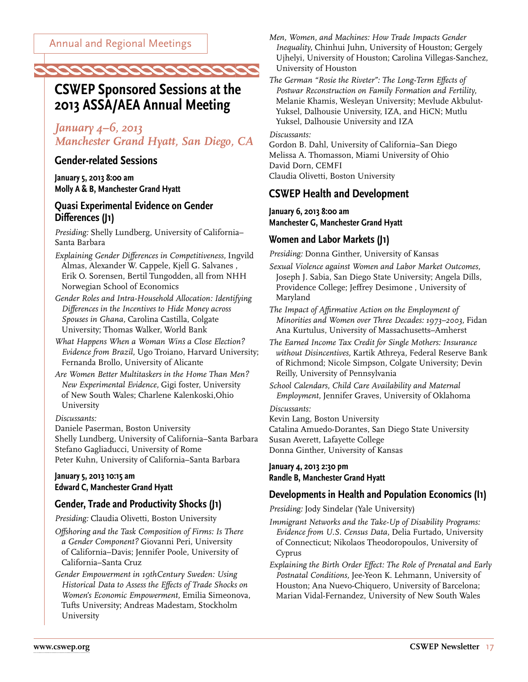### **CSWEP Sponsored Sessions at the 2013 ASSA/AEA Annual Meeting**

<span id="page-16-0"></span>*coococococococococ* 

### *January 4–6, 2013 Manchester Grand Hyatt, San Diego, CA*

#### **Gender-related Sessions**

**January 5, 2013 8:00 am Molly A & B, Manchester Grand Hyatt** 

#### **Quasi Experimental Evidence on Gender Differences (J1)**

*Presiding:* Shelly Lundberg, University of California– Santa Barbara

- *Explaining Gender Differences in Competitiveness,* Ingvild Almas, Alexander W. Cappele, Kjell G. Salvanes , Erik O. Sorensen, Bertil Tungodden, all from NHH Norwegian School of Economics
- *Gender Roles and Intra-Household Allocation: Identifying Differences in the Incentives to Hide Money across Spouses in Ghana,* Carolina Castilla, Colgate University; Thomas Walker, World Bank
- *What Happens When a Woman Wins a Close Election? Evidence from Brazil,* Ugo Troiano, Harvard University; Fernanda Brollo, University of Alicante
- *Are Women Better Multitaskers in the Home Than Men? New Experimental Evidence,* Gigi foster, University of New South Wales; Charlene Kalenkoski,Ohio University

#### *Discussants:*

Daniele Paserman, Boston University Shelly Lundberg, University of California–Santa Barbara Stefano Gagliaducci, University of Rome Peter Kuhn, University of California–Santa Barbara

#### **January 5, 2013 10:15 am Edward C, Manchester Grand Hyatt**

#### **Gender, Trade and Productivity Shocks (J1)**

*Presiding:* Claudia Olivetti, Boston University

- *Offshoring and the Task Composition of Firms: Is There a Gender Component?* Giovanni Peri, University of California–Davis; Jennifer Poole, University of California–Santa Cruz
- *Gender Empowerment in 19thCentury Sweden: Using Historical Data to Assess the Effects of Trade Shocks on Women's Economic Empowerment,* Emilia Simeonova, Tufts University; Andreas Madestam, Stockholm University

*Men, Women, and Machines: How Trade Impacts Gender Inequality,* Chinhui Juhn, University of Houston; Gergely Ujhelyi, University of Houston; Carolina Villegas-Sanchez, University of Houston

*The German "Rosie the Riveter": The Long-Term Effects of Postwar Reconstruction on Family Formation and Fertility,*  Melanie Khamis, Wesleyan University; Mevlude Akbulut-Yuksel, Dalhousie University, IZA, and HiCN; Mutlu Yuksel, Dalhousie University and IZA

*Discussants:* 

Gordon B. Dahl, University of California–San Diego Melissa A. Thomasson, Miami University of Ohio David Dorn, CEMFI Claudia Olivetti, Boston University

#### **CSWEP Health and Development**

**January 6, 2013 8:00 am Manchester G, Manchester Grand Hyatt** 

#### **Women and Labor Markets (J1)**

*Presiding:* Donna Ginther, University of Kansas

*Sexual Violence against Women and Labor Market Outcomes,*  Joseph J. Sabia, San Diego State University; Angela Dills, Providence College; Jeffrey Desimone , University of Maryland

*The Impact of Affirmative Action on the Employment of Minorities and Women over Three Decades: 1973–2003,* Fidan Ana Kurtulus, University of Massachusetts–Amherst

*The Earned Income Tax Credit for Single Mothers: Insurance without Disincentives,* Kartik Athreya, Federal Reserve Bank of Richmond; Nicole Simpson, Colgate University; Devin Reilly, University of Pennsylvania

*School Calendars, Child Care Availability and Maternal Employment,* Jennifer Graves, University of Oklahoma

*Discussants:* 

Kevin Lang, Boston University Catalina Amuedo-Dorantes, San Diego State University Susan Averett, Lafayette College

Donna Ginther, University of Kansas

#### **January 4, 2013 2:30 pm Randle B, Manchester Grand Hyatt**

#### **Developments in Health and Population Economics (I1)**

*Presiding:* Jody Sindelar (Yale University)

*Immigrant Networks and the Take-Up of Disability Programs: Evidence from U.S. Census Data,* Delia Furtado, University of Connecticut; Nikolaos Theodoropoulos, University of Cyprus

*Explaining the Birth Order Effect: The Role of Prenatal and Early Postnatal Conditions,* Jee-Yeon K. Lehmann, University of Houston; Ana Nuevo-Chiquero, University of Barcelona; Marian Vidal-Fernandez, University of New South Wales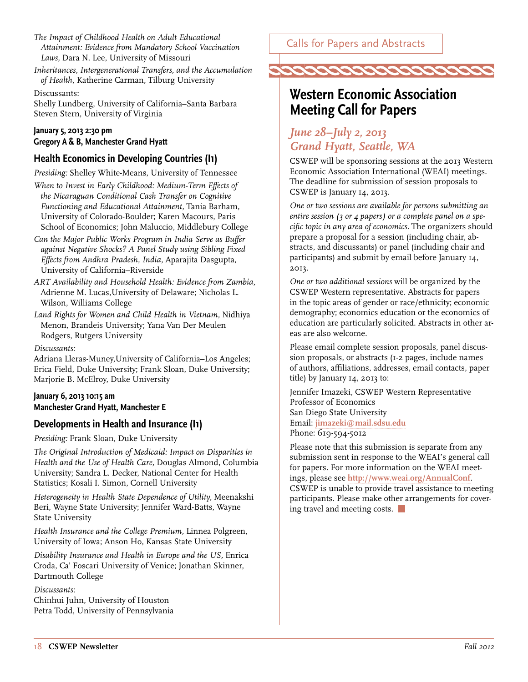- <span id="page-17-0"></span>*The Impact of Childhood Health on Adult Educational Attainment: Evidence from Mandatory School Vaccination Laws,* Dara N. Lee, University of Missouri
- *Inheritances, Intergenerational Transfers, and the Accumulation of Health,* Katherine Carman, Tilburg University

Discussants:

Shelly Lundberg, University of California–Santa Barbara Steven Stern, University of Virginia

#### **January 5, 2013 2:30 pm Gregory A & B, Manchester Grand Hyatt**

### **Health Economics in Developing Countries (I1)**

*Presiding:* Shelley White-Means, University of Tennessee

- *When to Invest in Early Childhood: Medium-Term Effects of the Nicaraguan Conditional Cash Transfer on Cognitive Functioning and Educational Attainment,* Tania Barham, University of Colorado-Boulder; Karen Macours, Paris School of Economics; John Maluccio, Middlebury College
- *Can the Major Public Works Program in India Serve as Buffer against Negative Shocks? A Panel Study using Sibling Fixed Effects from Andhra Pradesh, India,* Aparajita Dasgupta, University of California–Riverside
- *ART Availability and Household Health: Evidence from Zambia,*  Adrienne M. Lucas,University of Delaware; Nicholas L. Wilson, Williams College
- *Land Rights for Women and Child Health in Vietnam,* Nidhiya Menon, Brandeis University; Yana Van Der Meulen Rodgers, Rutgers University

#### *Discussants:*

Adriana Lleras-Muney,University of California–Los Angeles; Erica Field, Duke University; Frank Sloan, Duke University; Marjorie B. McElroy, Duke University

#### **January 6, 2013 10:15 am Manchester Grand Hyatt, Manchester E**

#### **Developments in Health and Insurance (I1)**

*Presiding:* Frank Sloan, Duke University

*The Original Introduction of Medicaid: Impact on Disparities in Health and the Use of Health Care,* Douglas Almond, Columbia University; Sandra L. Decker, National Center for Health Statistics; Kosali I. Simon, Cornell University

*Heterogeneity in Health State Dependence of Utility,* Meenakshi Beri, Wayne State University; Jennifer Ward-Batts, Wayne State University

*Health Insurance and the College Premium,* Linnea Polgreen, University of Iowa; Anson Ho, Kansas State University

*Disability Insurance and Health in Europe and the US,* Enrica Croda, Ca' Foscari University of Venice; Jonathan Skinner, Dartmouth College

#### *Discussants:*

Chinhui Juhn, University of Houston Petra Todd, University of Pennsylvania



### **Western Economic Association Meeting Call for Papers**

### *June 28–July 2, 2013 Grand Hyatt, Seattle, WA*

CSWEP will be sponsoring sessions at the 2013 Western Economic Association International (WEAI) meetings. The deadline for submission of session proposals to CSWEP is January 14, 2013.

*One or two sessions are available for persons submitting an entire session (3 or 4 papers) or a complete panel on a specific topic in any area of economics.* The organizers should prepare a proposal for a session (including chair, abstracts, and discussants) or panel (including chair and participants) and submit by email before January 14, 2013.

*One or two additional sessions* will be organized by the CSWEP Western representative. Abstracts for papers in the topic areas of gender or race/ethnicity; economic demography; economics education or the economics of education are particularly solicited. Abstracts in other areas are also welcome.

Please email complete session proposals, panel discussion proposals, or abstracts (1-2 pages, include names of authors, affiliations, addresses, email contacts, paper title) by January 14, 2013 to:

Jennifer Imazeki, CSWEP Western Representative Professor of Economics San Diego State University Email: **[jimazeki@mail.sdsu.edu](mailto:jimazeki%40mail.sdsu.edu?subject=)** Phone: 619-594-5012

Please note that this submission is separate from any submission sent in response to the WEAI's general call for papers. For more information on the WEAI meetings, please see **<http://www.weai.org/AnnualConf>**. CSWEP is unable to provide travel assistance to meeting participants. Please make other arrangements for covering travel and meeting costs.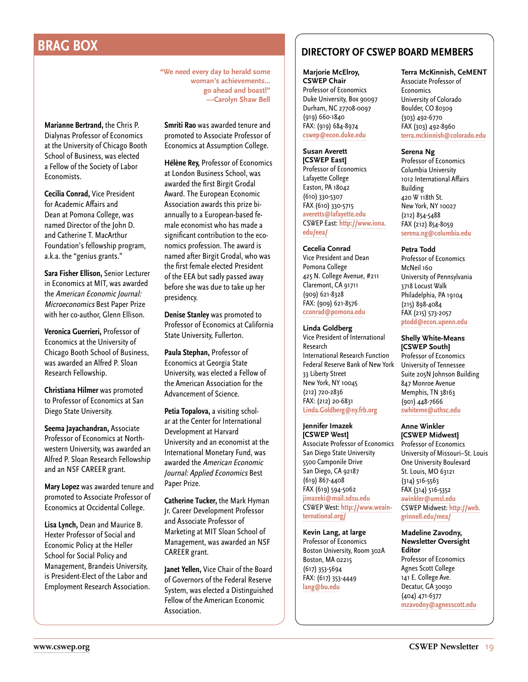Economists.

**Marianne Bertrand,** the Chris P. Dialynas Professor of Economics at the University of Chicago Booth School of Business, was elected a Fellow of the Society of Labor

**Cecilia Conrad,** Vice President for Academic Affairs and Dean at Pomona College, was named Director of the John D. and Catherine T. MacArthur Foundation's fellowship program, a.k.a. the "genius grants."

**Sara Fisher Ellison,** Senior Lecturer in Economics at MIT, was awarded the American Economic Journal: Microeconomics Best Paper Prize with her co-author, Glenn Ellison.

**Veronica Guerrieri,** Professor of Economics at the University of Chicago Booth School of Business, was awarded an Alfred P. Sloan

**Christiana Hilmer** was promoted to Professor of Economics at San

**Seema Jayachandran,** Associate Professor of Economics at Northwestern University, was awarded an Alfred P. Sloan Research Fellowship and an NSF CAREER grant.

**Mary Lopez** was awarded tenure and promoted to Associate Professor of Economics at Occidental College. **Lisa Lynch,** Dean and Maurice B. Hexter Professor of Social and Economic Policy at the Heller School for Social Policy and Management, Brandeis University, is President-Elect of the Labor and Employment Research Association.

Research Fellowship.

Diego State University.

**"We need every day to herald some woman's achievements... go ahead and boast!" —Carolyn Shaw Bell**

**Smriti Rao** was awarded tenure and promoted to Associate Professor of Economics at Assumption College.

**Hélène Rey,** Professor of Economics at London Business School, was awarded the first Birgit Grodal Award. The European Economic Association awards this prize biannually to a European-based female economist who has made a significant contribution to the economics profession. The award is named after Birgit Grodal, who was the first female elected President of the EEA but sadly passed away before she was due to take up her presidency.

**Denise Stanley** was promoted to Professor of Economics at California State University, Fullerton.

**Paula Stephan,** Professor of Economics at Georgia State University, was elected a Fellow of the American Association for the Advancement of Science.

**Petia Topalova,** a visiting scholar at the Center for International Development at Harvard University and an economist at the International Monetary Fund, was awarded the American Economic Journal: Applied Economics Best Paper Prize.

**Catherine Tucker,** the Mark Hyman Jr. Career Development Professor and Associate Professor of Marketing at MIT Sloan School of Management, was awarded an NSF CAREER grant.

**Janet Yellen,** Vice Chair of the Board of Governors of the Federal Reserve System, was elected a Distinguished Fellow of the American Economic Association.

## <span id="page-18-0"></span>**BRAG BOX DIRECTORY OF CSWEP BOARD MEMBERS**

**Marjorie McElroy, CSWEP Chair** Professor of Economics

Duke University, Box 90097 Durham, NC 27708-0097 (919) 660-1840 FAX: (919) 684-8974 **[cswep@econ.duke.edu](mailto:cswep%40econ.duke.edu?subject=)**

**Susan Averett [CSWEP East]** Professor of Economics Lafayette College Easton, PA 18042 (610) 330-5307 FAX (610) 330-5715 **[averetts@lafayette.edu](mailto:averetts%40lafayette.edu?subject=)** CSWEP East: **[http://www.iona.](http://www.iona.edu/eea/) [edu/eea/](http://www.iona.edu/eea/)**

**Cecelia Conrad** Vice President and Dean Pomona College 425 N. College Avenue, #211 Claremont, CA 91711 (909) 621-8328 FAX: (909) 621-8576 **[cconrad@pomona.edu](mailto:cconrad%40pomona.edu?subject=)**

**Linda Goldberg** Vice President of International Research International Research Function Federal Reserve Bank of New York 33 Liberty Street New York, NY 10045 (212) 720-2836 FAX: (212) 20-6831 **[Linda.Goldberg@ny.frb.org](mailto:Linda.Goldberg%40ny.frb.org?subject=)**

**Jennifer Imazek [CSWEP West]** Associate Professor of Economics San Diego State University 5500 Camponile Drive San Diego, CA 92187 (619) 867-4408 FAX (619) 594-5062 **[jimazeki@mail.sdsu.edu](mailto:jimazeki%40mail.sdsu.edu?subject=)** CSWEP West: **[http://www.weain](http://www.weainternational.org/)[ternational.org/](http://www.weainternational.org/)**

**Kevin Lang, at large** Professor of Economics Boston University, Room 302A Boston, MA 02215 (617) 353-5694 FAX: (617) 353-4449 **[lang@bu.edu](mailto:lang%40bu.edu?subject=)**

### **Terra McKinnish, CeMENT**

Associate Professor of **Economics** University of Colorado Boulder, CO 80309 (303) 492-6770 FAX (303) 492-8960 **[terra.mckinnish@colorado.edu](mailto:terra.mckinnish%40colorado.edu?subject=)**

#### **Serena Ng**

Professor of Economics Columbia University 1012 International Affairs Building 420 W 118th St. New York, NY 10027 (212) 854-5488 FAX (212) 854-8059 **[serena.ng@columbia.edu](mailto:serena.ng%40columbia.edu?subject=)**

**Petra Todd**

Professor of Economics McNeil 160 University of Pennsylvania 3718 Locust Walk Philadelphia, PA 19104 (215) 898-4084 FAX (215) 573-2057 **[ptodd@econ.upenn.edu](mailto:ptodd%40econ.upenn.edu?subject=)**

**Shelly White-Means [CSWEP South]** Professor of Economics University of Tennessee Suite 205N Johnson Building 847 Monroe Avenue Memphis, TN 38163 (901) 448-7666 **[swhiteme@uthsc.edu](mailto:swhiteme%40uthsc.edu?subject=)**

**Anne Winkler [CSWEP Midwest]** Professor of Economics University of Missouri–St. Louis One University Boulevard St. Louis, MO 63121 (314) 516-5563 FAX (314) 516-5352 **[awinkler@umsl.edu](mailto:awinkler%40umsl.edu?subject=)** CSWEP Midwest: **[http://web.](http://web.grinnell.edu/mea/) [grinnell.edu/mea/](http://web.grinnell.edu/mea/)**

**Madeline Zavodny, Newsletter Oversight Editor** Professor of Economics Agnes Scott College 141 E. College Ave. Decatur, GA 30030 (404) 471-6377 **[mzavodny@agnesscott.edu](mailto:mzavodny%40agnesscott.edu?subject=)**